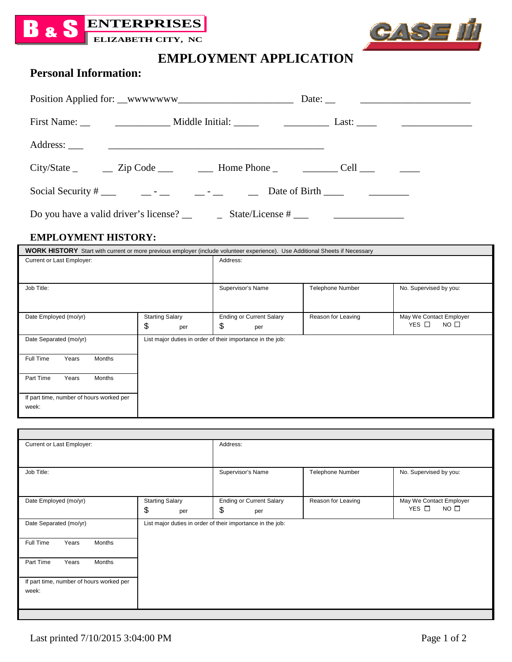



# **EMPLOYMENT APPLICATION**

## **Personal Information:**

| $City\%$ tate $\qquad \qquad \qquad \qquad \text{Zip Code} \qquad \qquad \qquad \text{Home Phone} \qquad \qquad \text{1} \qquad \qquad \text{Cell} \qquad \qquad \qquad \text{1} \qquad \qquad \text{2}$ |  |
|----------------------------------------------------------------------------------------------------------------------------------------------------------------------------------------------------------|--|
|                                                                                                                                                                                                          |  |
| Do you have a valid driver's license? $\_\_\_\_$ State/License # $\_\_\_\_\_\_\_\_$                                                                                                                      |  |

#### **EMPLOYMENT HISTORY:**

| <b>WORK HISTORY</b> Start with current or more previous employer (include volunteer experience). Use Additional Sheets if Necessary |                                     |                                                            |                         |                                                          |
|-------------------------------------------------------------------------------------------------------------------------------------|-------------------------------------|------------------------------------------------------------|-------------------------|----------------------------------------------------------|
| Current or Last Employer:                                                                                                           | Address:                            |                                                            |                         |                                                          |
|                                                                                                                                     |                                     |                                                            |                         |                                                          |
| Job Title:                                                                                                                          |                                     | Supervisor's Name                                          | <b>Telephone Number</b> | No. Supervised by you:                                   |
| Date Employed (mo/yr)                                                                                                               | <b>Starting Salary</b><br>\$<br>per | <b>Ending or Current Salary</b><br>\$<br>per               | Reason for Leaving      | May We Contact Employer<br>YES $\Box$<br>NO <sub>0</sub> |
| Date Separated (mo/yr)                                                                                                              |                                     | List major duties in order of their importance in the job: |                         |                                                          |
| Full Time<br>Months<br>Years                                                                                                        |                                     |                                                            |                         |                                                          |
| Part Time<br>Months<br>Years                                                                                                        |                                     |                                                            |                         |                                                          |
| If part time, number of hours worked per<br>week:                                                                                   |                                     |                                                            |                         |                                                          |

| Current or Last Employer:                         |                                     | Address:                                                   |                    |                                                      |
|---------------------------------------------------|-------------------------------------|------------------------------------------------------------|--------------------|------------------------------------------------------|
| Job Title:                                        |                                     | Supervisor's Name                                          | Telephone Number   | No. Supervised by you:                               |
| Date Employed (mo/yr)                             | <b>Starting Salary</b><br>\$<br>per | <b>Ending or Current Salary</b><br>\$<br>per               | Reason for Leaving | May We Contact Employer<br>YES $\Box$<br>$NO$ $\Box$ |
| Date Separated (mo/yr)                            |                                     | List major duties in order of their importance in the job: |                    |                                                      |
| Full Time<br>Years<br>Months                      |                                     |                                                            |                    |                                                      |
| Years<br>Part Time<br>Months                      |                                     |                                                            |                    |                                                      |
| If part time, number of hours worked per<br>week: |                                     |                                                            |                    |                                                      |